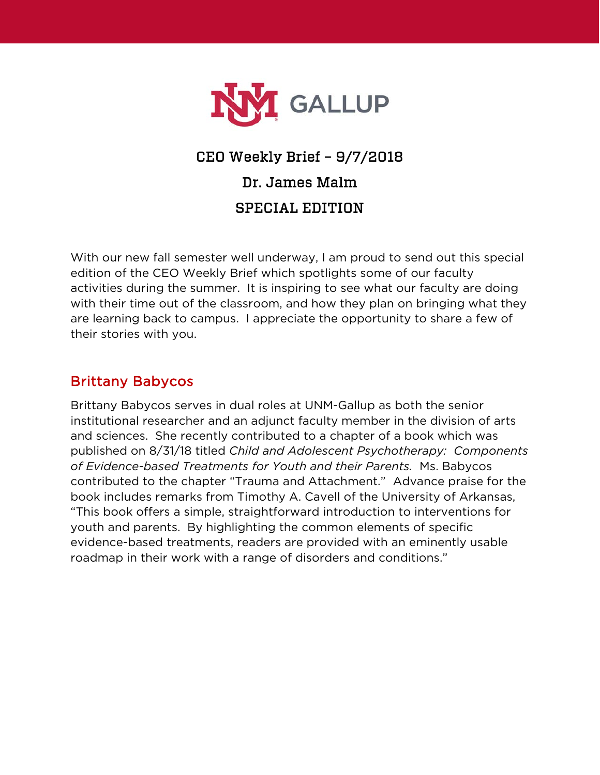

# CEO Weekly Brief – 9/7/2018 Dr. James Malm SPECIAL EDITION

With our new fall semester well underway, I am proud to send out this special edition of the CEO Weekly Brief which spotlights some of our faculty activities during the summer. It is inspiring to see what our faculty are doing with their time out of the classroom, and how they plan on bringing what they are learning back to campus. I appreciate the opportunity to share a few of their stories with you.

# Brittany Babycos

Brittany Babycos serves in dual roles at UNM-Gallup as both the senior institutional researcher and an adjunct faculty member in the division of arts and sciences. She recently contributed to a chapter of a book which was published on 8/31/18 titled *Child and Adolescent Psychotherapy: Components of Evidence-based Treatments for Youth and their Parents.* Ms. Babycos contributed to the chapter "Trauma and Attachment." Advance praise for the book includes remarks from Timothy A. Cavell of the University of Arkansas, "This book offers a simple, straightforward introduction to interventions for youth and parents. By highlighting the common elements of specific evidence-based treatments, readers are provided with an eminently usable roadmap in their work with a range of disorders and conditions."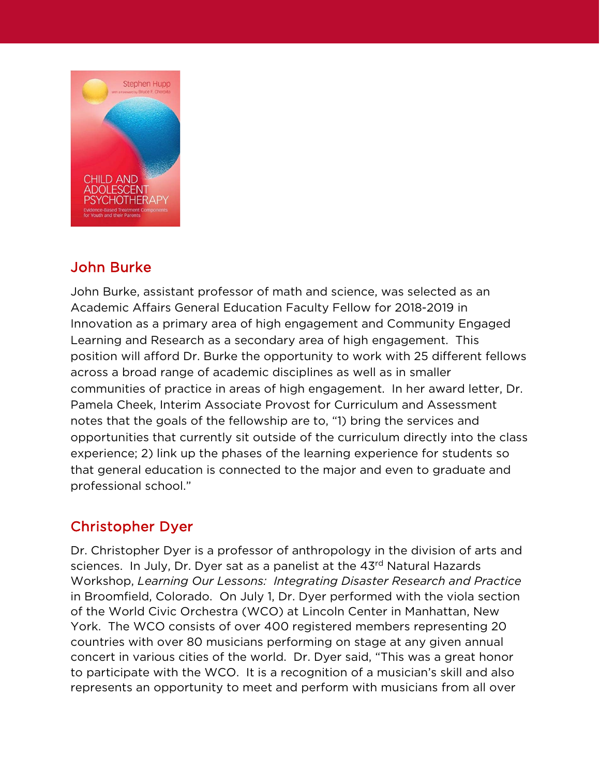

# John Burke

John Burke, assistant professor of math and science, was selected as an Academic Affairs General Education Faculty Fellow for 2018-2019 in Innovation as a primary area of high engagement and Community Engaged Learning and Research as a secondary area of high engagement. This position will afford Dr. Burke the opportunity to work with 25 different fellows across a broad range of academic disciplines as well as in smaller communities of practice in areas of high engagement. In her award letter, Dr. Pamela Cheek, Interim Associate Provost for Curriculum and Assessment notes that the goals of the fellowship are to, "1) bring the services and opportunities that currently sit outside of the curriculum directly into the class experience; 2) link up the phases of the learning experience for students so that general education is connected to the major and even to graduate and professional school."

# Christopher Dyer

Dr. Christopher Dyer is a professor of anthropology in the division of arts and sciences. In July, Dr. Dyer sat as a panelist at the 43rd Natural Hazards Workshop, *Learning Our Lessons: Integrating Disaster Research and Practice*  in Broomfield, Colorado. On July 1, Dr. Dyer performed with the viola section of the World Civic Orchestra (WCO) at Lincoln Center in Manhattan, New York. The WCO consists of over 400 registered members representing 20 countries with over 80 musicians performing on stage at any given annual concert in various cities of the world. Dr. Dyer said, "This was a great honor to participate with the WCO. It is a recognition of a musician's skill and also represents an opportunity to meet and perform with musicians from all over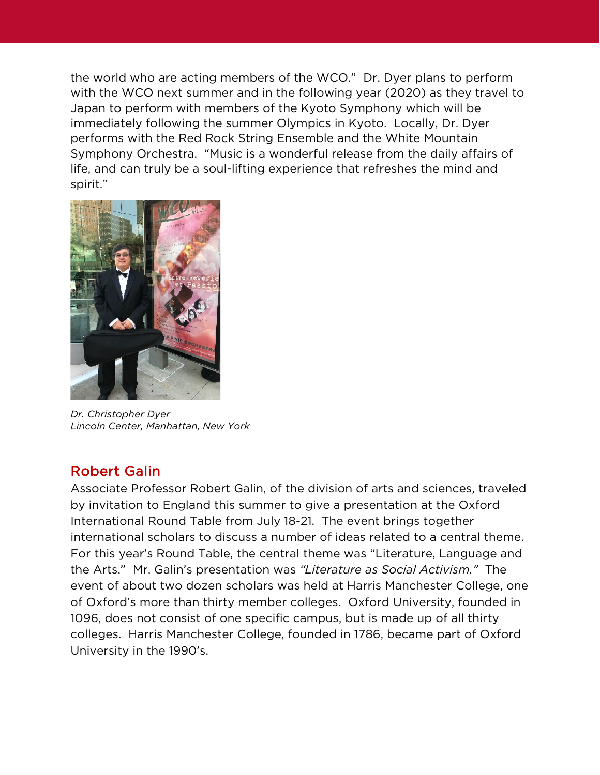the world who are acting members of the WCO." Dr. Dyer plans to perform with the WCO next summer and in the following year (2020) as they travel to Japan to perform with members of the Kyoto Symphony which will be immediately following the summer Olympics in Kyoto. Locally, Dr. Dyer performs with the Red Rock String Ensemble and the White Mountain Symphony Orchestra. "Music is a wonderful release from the daily affairs of life, and can truly be a soul-lifting experience that refreshes the mind and spirit."



*Dr. Christopher Dyer Lincoln Center, Manhattan, New York*

#### Robert Galin

Associate Professor Robert Galin, of the division of arts and sciences, traveled by invitation to England this summer to give a presentation at the Oxford International Round Table from July 18-21. The event brings together international scholars to discuss a number of ideas related to a central theme. For this year's Round Table, the central theme was "Literature, Language and the Arts." Mr. Galin's presentation was *"Literature as Social Activism."* The event of about two dozen scholars was held at Harris Manchester College, one of Oxford's more than thirty member colleges. Oxford University, founded in 1096, does not consist of one specific campus, but is made up of all thirty colleges. Harris Manchester College, founded in 1786, became part of Oxford University in the 1990's.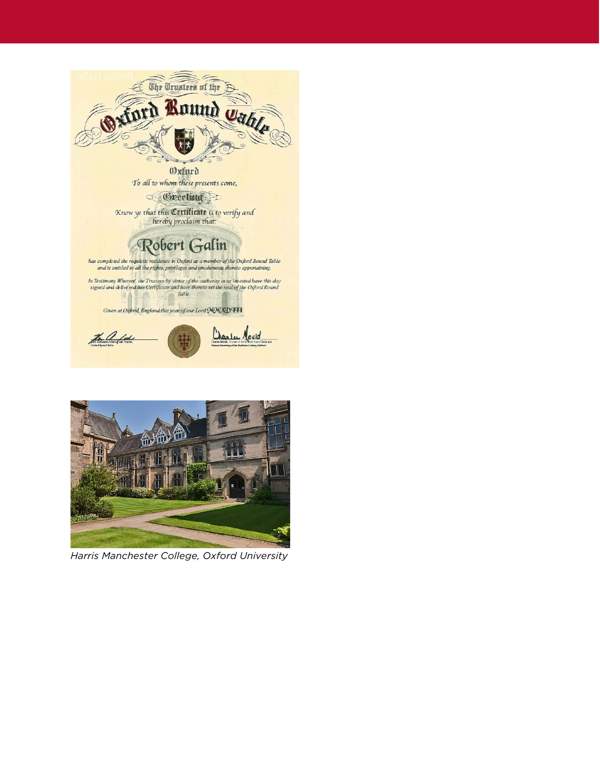

**Oxfurd** To all to whom these presents come,

Geretian :

Know ye that this **Certificate** is to verify and<br>hereby proclaim that:

# Robert Galin

has completed the requisite residence in Oxford as a member of the Oxford Round Table and is entitled to all the rights, privileges and emoluments thereto appertaining.

In Testimony Whereof, the Trustees by virtue of the authority in us invested have this day signed and delivered this Certificate and have thereto set the seal of the Oxford Round Table.

Given at Oxford, England this year of our Lord MMXDHH





*Harris Manchester College, Oxford University*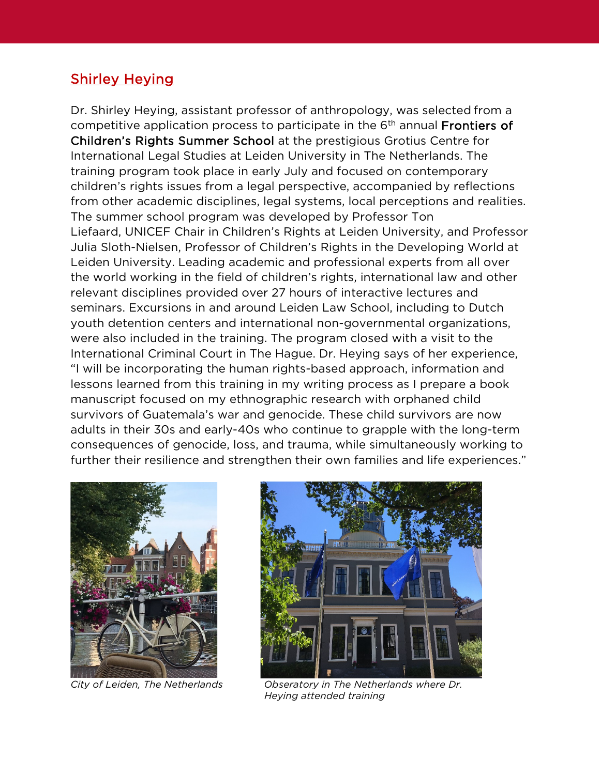# Shirley Heying

Dr. Shirley Heying, assistant professor of anthropology, was selected from a competitive application process to participate in the 6<sup>th</sup> annual **Frontiers of** Children's Rights Summer School at the prestigious Grotius Centre for International Legal Studies at Leiden University in The Netherlands. The training program took place in early July and focused on contemporary children's rights issues from a legal perspective, accompanied by reflections from other academic disciplines, legal systems, local perceptions and realities. The summer school program was developed by Professor Ton Liefaard, UNICEF Chair in Children's Rights at Leiden University, and Professor Julia Sloth-Nielsen, Professor of Children's Rights in the Developing World at Leiden University. Leading academic and professional experts from all over the world working in the field of children's rights, international law and other relevant disciplines provided over 27 hours of interactive lectures and seminars. Excursions in and around Leiden Law School, including to Dutch youth detention centers and international non-governmental organizations, were also included in the training. The program closed with a visit to the International Criminal Court in The Hague. Dr. Heying says of her experience, "I will be incorporating the human rights-based approach, information and lessons learned from this training in my writing process as I prepare a book manuscript focused on my ethnographic research with orphaned child survivors of Guatemala's war and genocide. These child survivors are now adults in their 30s and early-40s who continue to grapple with the long-term consequences of genocide, loss, and trauma, while simultaneously working to further their resilience and strengthen their own families and life experiences."





*City of Leiden, The Netherlands Obseratory in The Netherlands where Dr. Heying attended training*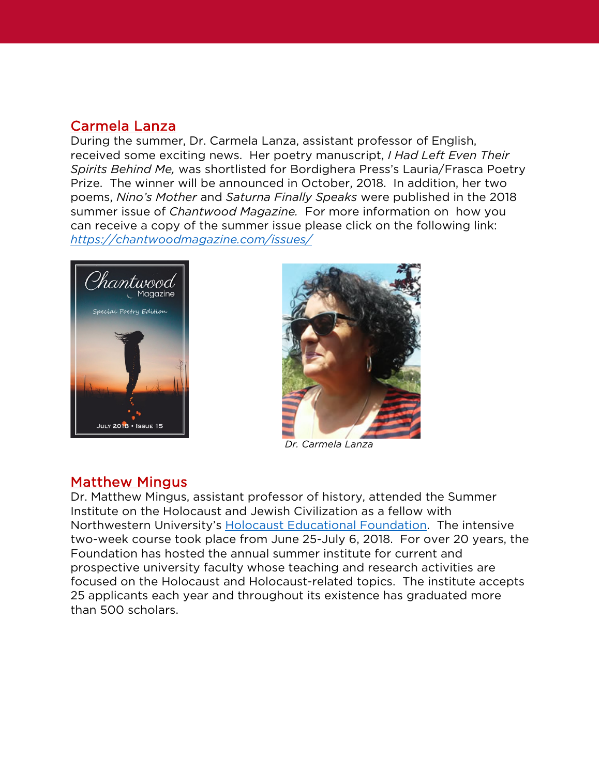### Carmela Lanza

During the summer, Dr. Carmela Lanza, assistant professor of English, received some exciting news. Her poetry manuscript, *I Had Left Even Their Spirits Behind Me,* was shortlisted for Bordighera Press's Lauria/Frasca Poetry Prize. The winner will be announced in October, 2018. In addition, her two poems, *Nino's Mother* and *Saturna Finally Speaks* were published in the 2018 summer issue of *Chantwood Magazine.* For more information on how you can receive a copy of the summer issue please click on the following link: *<https://chantwoodmagazine.com/issues/>*





*Dr. Carmela Lanza*

#### Matthew Mingus

Dr. Matthew Mingus, assistant professor of history, attended the Summer Institute on the Holocaust and Jewish Civilization as a fellow with Northwestern University's [Holocaust Educational Foundation.](http://www.hef.northwestern.edu/summer-institutes/) The intensive two-week course took place from June 25-July 6, 2018. For over 20 years, the Foundation has hosted the annual summer institute for current and prospective university faculty whose teaching and research activities are focused on the Holocaust and Holocaust-related topics. The institute accepts 25 applicants each year and throughout its existence has graduated more than 500 scholars.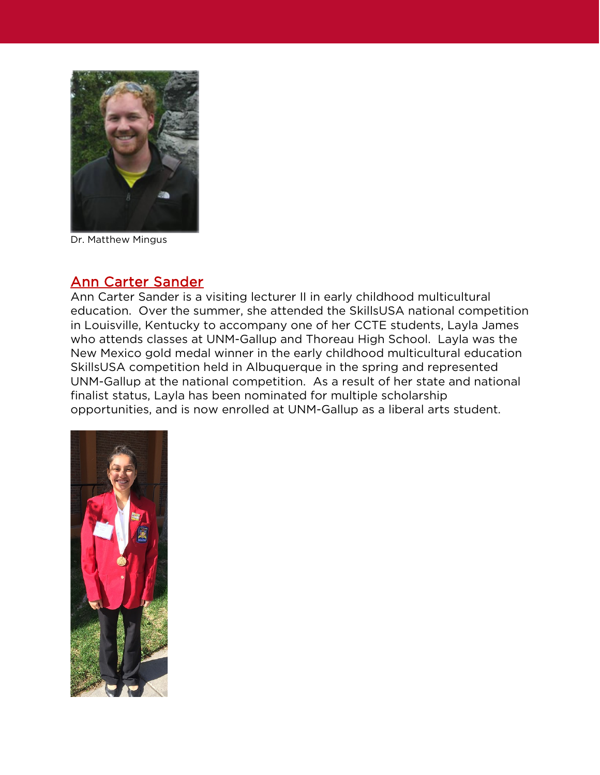

Dr. Matthew Mingus

#### Ann Carter Sander

Ann Carter Sander is a visiting lecturer II in early childhood multicultural education. Over the summer, she attended the SkillsUSA national competition in Louisville, Kentucky to accompany one of her CCTE students, Layla James who attends classes at UNM-Gallup and Thoreau High School. Layla was the New Mexico gold medal winner in the early childhood multicultural education SkillsUSA competition held in Albuquerque in the spring and represented UNM-Gallup at the national competition. As a result of her state and national finalist status, Layla has been nominated for multiple scholarship opportunities, and is now enrolled at UNM-Gallup as a liberal arts student.